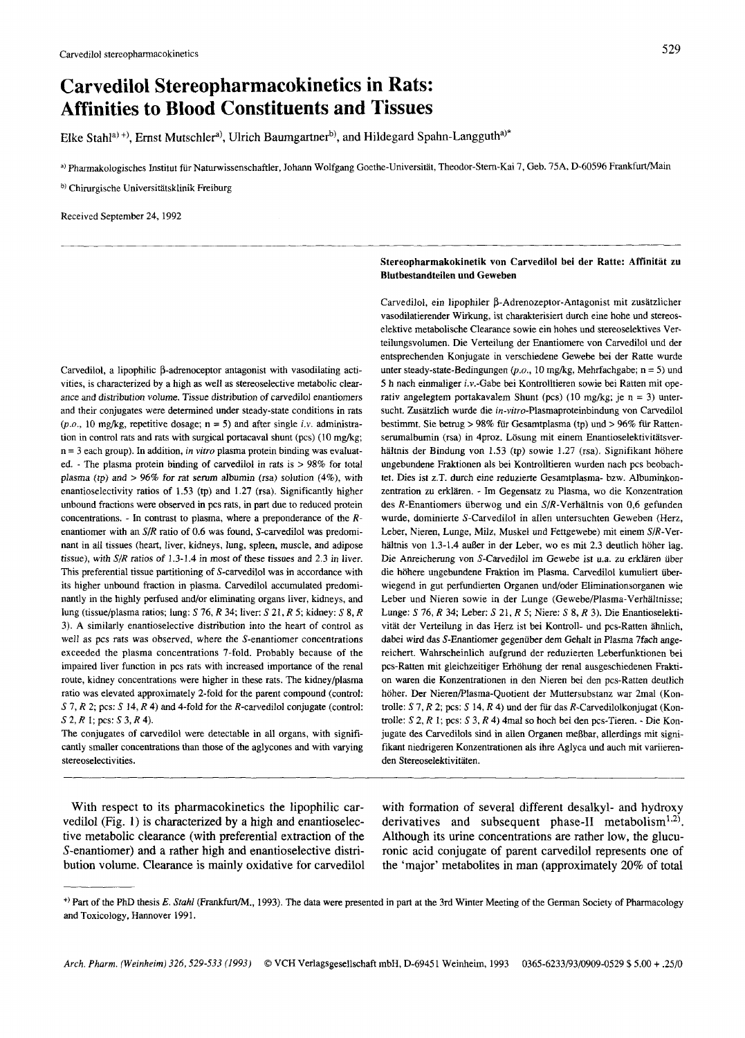# **Carvedilol Stereopharmacokinetics in Rats: Affinities to Blood Constituents and Tissues**

Elke Stahl<sup>a)+)</sup>, Ernst Mutschler<sup>a)</sup>, Ulrich Baumgartner<sup>b)</sup>, and Hildegard Spahn-Langguth<sup>a)\*</sup>

**a)** Pharmakologisches Institut fur Naturwissenschaftler, Johann Wolfgang Goethe-Universitat, Theodor-Stem-Kai 7, Geb. 75A, D-60596 FrankfurtMain

**b**) Chirurgische Universitätsklinik Freiburg

Received September 24,1992

# Carvedilol, a lipophilic  $\beta$ -adrenoceptor antagonist with vasodilating activities, is characterized by a high as well as stereoselective metabolic clearance and disrribution volume. Tissue distribution of carvedilol enantiomers and their conjugates were determined under steady-state conditions in rats  $(p.o., 10 \text{ mg/kg}, \text{ repetitive dosage}; n = 5)$  and after single i.v. administration in control rats and rats with surgical portacaval shunt **(pcs)** (10 mg/kg; n = 3 each group). In addition, in *vifro* plasma protein binding was evaluated. - The plasma protein binding of carvedilol in rats is > 98% **for** total plasma *(fp)* and > 96% **for** rat semm albumin (rsa) solution (4%), with enantioselectivity ratios of 1.53 (tp) and 1.27 (rsa). Significantly higher unbound fractions were observed in pcs rats, in part due to reduced protein concentrations. - In contrast to plasma, where a preponderance of the Renantiomer with an S/R ratio of **0.6** was found, S-carvedilol was predominant in all tissues (heart, liver, kidneys, lung, spleen, muscle, and adipose tissue), with *S/R* ratios of 1.3-1.4 in most of these tissues and 2.3 in liver. This preferential tissue partitioning of S-carvedilol was in accordance with its higher unbound fraction in plasma. Carvedilol accumulated predominantly in the highly perfused and/or eliminating organs liver, kidneys, and lung (tissue/plasma ratios; lung: S 76, R 34; liver: S 21, R *5;* kidney: S 8, R 3). A similarly enantioselective distribution into the heart of control as well as pcs rats was observed, where the S-enantiomer concentrations exceeded the plasma concentrations 7-fold. Probably because of the impaired liver function in pcs rats with increased importance of the renal route, kidney concentrations were higher in these rats. The kidney/plasma ratio was elevated approximately 2-fold for the parent compound (control: S 7, R 2; pcs: S 14, R 4) and 4-fold for the R-carvedilol conjugate (control: *S* 2, R 1; pcs: *S* 3, R 4).

The conjugates of carvedilol were detectable in all organs, with significantly smaller concentrations than those of the aglycones and with varying stereoselectivities.

# Stereopharmakokinetik von Carvedilol bei der Ratte: Affinitat **zu**  Blutbestandteilen und Geweben

Carvedilol, ein lipophiler β-Adrenozeptor-Antagonist mit zusätzlicher vasodilatierender Wirkung, ist charakterisiert durch eine hohe und stereoselektive metabolische Clearance sowie ein hohes und stereoselektives Verteilungsvolumen. Die Verteilung der Enantiomere von Carvedilol und der entsprechenden Konjugate in verschiedene Gewebe bei der Ratte wurde unter steady-state-Bedingungen (p.o., 10 mg/kg, Mehrfachgabe; n = 5) und 5 h nach einmaliger i.v.-Gabe bei Kontrolltieren sowie bei Ratten mit operativ angelegtem portakavalem Shunt (pcs) (10 mg/kg; je n = 3) untersucht. Zusätzlich wurde die in-vitro-Plasmaproteinbindung von Carvedilol bestimmt. Sie betrug > 98% fur Gesamtplasma (tp) und > 96% **fiir** Rattenserumalbumin (rsa) in 4proz. Lösung mit einem Enantioselektivitätsverhältnis der Bindung von 1.53 (tp) sowie 1.27 (rsa). Signifikant höhere ungebundene Fraktionen als bei Kontrolltieren wurden nach pcs beobachtet. Dies ist z.T. durch eine reduzierte Gesamtplasma- bzw. Albuminkonzentration zu erklären. - Im Gegensatz zu Plasma, wo die Konzentration des R-Enantiomers überwog und ein S/R-Verhältnis von 0,6 gefunden wurde, dominierte S-Carvedilol in allen untersuchten Geweben (Herz, Leber, Nieren, Lunge, Milz, Muskel und Fettgewebe) mit einem SIR-Verhältnis von 1.3-1.4 außer in der Leber, wo es mit 2.3 deutlich höher lag. Die Anreicherung von S-Carvedilol im Gewebe ist u.a. zu erklären über die höhere ungebundene Fraktion im Plasma. Carvedilol kumuliert überwiegend in gut perfundierten Organen und/oder Eliminationsorganen wie Leber und Nieren sowie in der Lunge (Gewebe/Plasma-Verhältnisse; Lunge: S 76, R 34; Leber: S 21, R **5;** Niere: **S** 8, R *3).* Die Enantioselektivitat der Verteilung in das Herz ist bei Kontroll- und pcs-Ratten ahnlich, dabei wid das S-Enantiomer gegenuher dem Gehalt in Plasma 7fach angereichert. Wahrscheinlich aufgrund der reduzierten Leberfunktionen bei pcs-Ratten mit gleichzeitiger Erhohung der renal ausgeschiedenen Fraktion waren die Konzentrationen in den Nieren bei den pcs-Ratten deutlich höher. Der Nieren/Plasma-Quotient der Muttersubstanz war 2mal (Kontrolle: S 7, R 2; pcs: S **14,** R 4) und der fiir das R-Carvedilolkonjugat (Kontrolle: *S* **2,** R 1; pcs: **S** 3, R 4) 4mal so hoch bei den pcs-Tieren. - Die Konjugate des Carvedilols sind in allen Organen meRbar, allerdings mit signifikant niedrigeren Konzentrationen als ihre Aglyca und auch mit variierenden Stereoselektivitaten.

vedilol (Fig. 1) is characterized by a high and enantioselec- derivatives and subsequent phase-II metabolism<sup>1,2)</sup>. tive metabolic clearance (with preferential extraction of the Although its urine concentrations are rather low, the glucu-S-enantiomer) and a rather high and enantioselective distri- ronic acid conjugate of parent carvedilol represents one of

With respect to its pharmacokinetics the lipophilic car- with formation of several different desalkyl- and hydroxy bution volume. Clearance is mainly oxidative for carvedilol the 'major' metabolites in man (approximately 20% of total

<sup>&</sup>lt;sup>+)</sup> Part of the PhD thesis *E. Stahl* (Frankfurt/M., 1993). The data were presented in part at the 3rd Winter Meeting of the German Society of Pharmacology and Toxicology, Hannover 1991.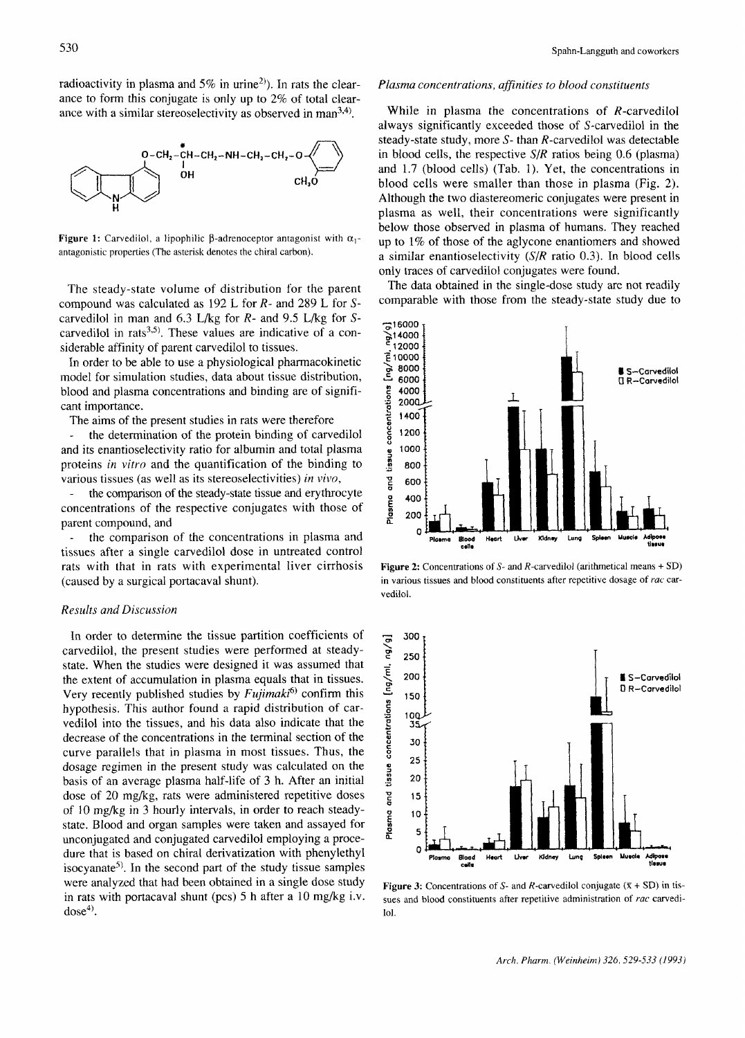radioactivity in plasma and 5% in urine<sup>2)</sup>). In rats the clearance to form this conjugate is only up to 2% of total clearance with a similar stereoselectivity as observed in man $^{3,4)}$ .



**Figure 1:** Carvedilol, a lipophilic  $\beta$ -adrenoceptor antagonist with  $\alpha_1$ antagonistic properties (The asterisk denotes the chiral carbon).

The steady-state volume of distribution for the parent compound was calculated as 192 L for *R-* and 289 L for Scarvedilol in man and 6.3 L/kg for *R-* and 9.5 L/kg for Scarvedilol in rats<sup>3,5)</sup>. These values are indicative of a considerable affinity of parent carvedilol to tissues.

In order to be able to use a physiological pharmacokinetic model for simulation studies, data about tissue distribution, blood and plasma concentrations and binding are of significant importance.

The aims of the present studies in rats were therefore

the determination of the protein binding of carvedilol and its enantioselectivity ratio for albumin and total plasma proteins *in vitro* and the quantification of the binding to various tissues (as well as its stereoselectivities) *in vivo,* 

the comparison of the steady-state tissue and erythrocyte concentrations of the respective conjugates with those of parent compound, and -

the comparison of the concentrations in plasma and tissues after a single carvedilol dose in untreated control rats with that in rats with experimental liver cirrhosis (caused by a surgical portacaval shunt). -

## *Results and Discussion*

In order to determine the tissue partition coefficients of carvedilol, the present studies were performed at steadystate. When the studies were designed it was assumed that the extent of accumulation in plasma equals that in tissues. Very recently published studies by *Fujimaki6)* confirm this hypothesis. This author found a rapid distribution of carvedilol into the tissues, and his data also indicate that the decrease of the concentrations in the terminal section of the curve parallels that in plasma in most tissues. Thus, the dosage regimen in the present study was calculated on the basis of an average plasma half-life of **3** h. After an initial dose of 20 mg/kg, rats were administered repetitive doses of 10 mg/kg in 3 hourly intervals, in order to reach steadystate. Blood and organ samples were taken and assayed for unconjugated and conjugated carvedilol employing a procedure that is based on chiral derivatization with phenylethyl isocyanate<sup>5)</sup>. In the second part of the study tissue samples were analyzed that had been obtained in a single dose study in rats with portacaval shunt (pcs) 5 h after a 10 mg/kg i.v.  $dose<sup>4</sup>$ .

## *Plasma concentrations, aflinities to blood constituents*

While in plasma the concentrations of R-carvedilol always significantly exceeded those of S-carvedilol in the steady-state study, more S- than R-carvedilol was detectable in blood cells, the respective *SIR* ratios being 0.6 (plasma) and 1.7 (blood cells) (Tab. 1). Yet, the concentrations in blood cells were smaller than those in plasma (Fig. 2). Although the two diastereomeric conjugates were present in plasma as well, their concentrations were significantly below those observed in plasma of humans. They reached up to 1% of those of the aglycone enantiomers and showed a similar enantioselectivity *(SIR* ratio 0.3). In blood cells only traces of carvedilol conjugates were found.

The data obtained in the single-dose study are not readily comparable with those from the steady-state study due to



**Figure 2:** Concentrations **of** *S-* and R-carvedilol (arithmetical means + SD) in various tissues and blood constituents after repetitive dosage of *ruc* carvedilol.



**Figure 3:** Concentrations of *S*- and *R*-carvedilol conjugate  $(K + SD)$  in tissues and blood constituents after repetitive administration of rac carvedi-**101.**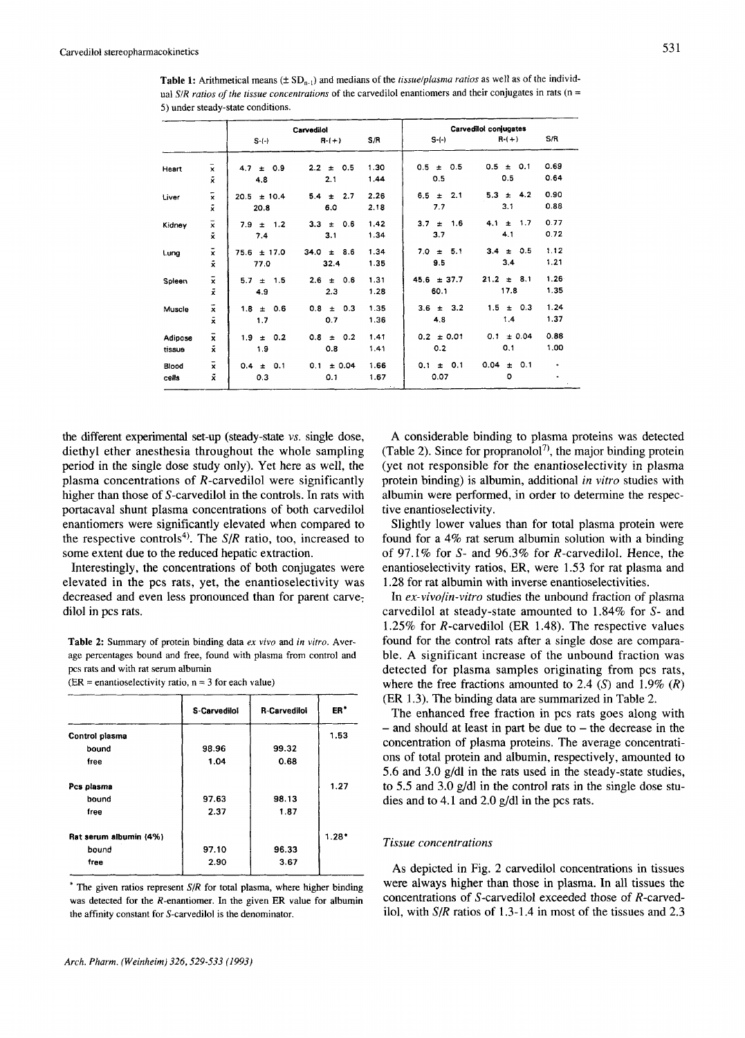**Table 1:** Arithmetical means ( $\pm$  SD<sub>n-1</sub>) and medians of the *tissue/plasma ratios* as well as of the individual SIR *rurios* of *the tissue concentrations* of the carvedilol enantiomers and their conjugates in rats (n = 5) under steady-state conditions.

|                   |                                            | Carvedilol                 |                              |                           | Carvedilol conjugates       |                              |              |  |
|-------------------|--------------------------------------------|----------------------------|------------------------------|---------------------------|-----------------------------|------------------------------|--------------|--|
|                   |                                            | $S-(-)$                    | $R-(+)$                      | S/R                       | $S-(-)$                     | $R-(+)$                      | S/R          |  |
| Heart             | $\bar{\mathbf{x}}$<br>$\tilde{\mathbf{x}}$ | 0.9<br>4.7<br>$\pm$<br>4.8 | $2.2 \pm$<br>0.5<br>2.1      | 1.30<br>1.44              | 0.5<br>0.5<br>$\pm$<br>0.5  | 0.5<br>0.1<br>$\pm$<br>0.5   | 0.69<br>0.64 |  |
| Liver             | $\bar{\mathbf{x}}$<br>$\bar{x}$            | $20.5 \pm 10.4$<br>20.8    | 2.7<br>5.4<br>$\pm$<br>6.0   | 2.26<br>2.18              | 2.1<br>6.5<br>$\pm$<br>7.7  | 42<br>5.3<br>$\pm$<br>3.1    | 0.90<br>0.88 |  |
| Kidney            | $\bar{\mathbf{x}}$<br>$\vec{x}$            | $7.9 \pm 1.2$<br>7.4       | 0.6<br>3.3<br>$\pm$<br>3.1   | 1.42<br>1.34              | 1.6<br>3.7<br>$\pm$<br>3.7  | 1.7<br>4.1<br>$\pm$<br>4.1   | 0.77<br>0.72 |  |
| Lung              | $\bar{x}$<br>$\tilde{\mathbf{x}}$          | $75.6 \pm 17.0$<br>77.0    | 34.0<br>8.6<br>$\pm$<br>32.4 | 1.34<br>1.35              | 5.1<br>7.0<br>$\pm$<br>9.5  | 0.5<br>$\pm$<br>3.4<br>3.4   | 1.12<br>1,21 |  |
| Spleen            | $\bar{x}$<br>$\tilde{\mathbf{x}}$          | 1.5<br>5.7<br>$\pm$<br>4.9 | 0.6<br>2.6<br>$\pm$<br>2.3   | 1.31<br>1.28              | $45.6 \pm 37.7$<br>60.1     | 21.2<br>8.1<br>$\pm$<br>17.8 | 1,26<br>1.35 |  |
| Muscle            | $\bar{\mathbf{x}}$<br>$\tilde{\mathbf{x}}$ | 0.6<br>1.8<br>$\pm$<br>1.7 | 0.3<br>0.8<br>$\pm$<br>0.7   | 1.35<br>1.36              | 3.2<br>$3.6 \pm$<br>4.8     | 1.5<br>0.3<br>$\pm$<br>1.4   | 1.24<br>1.37 |  |
| Adipose<br>tissue | $\bar{\mathbf{x}}$<br>$\tilde{\mathbf{x}}$ | 0.2<br>1.9<br>$\pm$<br>1.9 | 0.2<br>0.8<br>$\pm$<br>0.8   | 1.41<br>1.41              | $0.2 \pm 0.01$<br>0.2       | ± 0.04<br>0.1<br>0,1         | 0.88<br>1.00 |  |
| Blood<br>cells    | $\bar{\mathbf{x}}$<br>$\tilde{\mathbf{x}}$ | 0.1<br>0.4<br>$\pm$<br>0.3 | ± 0.04<br>0.1<br>0.1         | 1.66<br>1.67<br>$\ddotsc$ | 0.1<br>$\pm$<br>0.1<br>0.07 | 0.04<br>0.1<br>$\pm$<br>O    | ٠            |  |

the different experimental set-up (steady-state *vs.* single dose, diethyl ether anesthesia throughout the whole sampling period in the single dose study only). Yet here as well, the plasma concentrations of R-carvedilol were significantly higher than those of S-carvedilol in the controls. In rats with portacaval shunt plasma concentrations of both carvedilol enantiomers were significantly elevated when compared to the respective controls<sup>4)</sup>. The  $S/R$  ratio, too, increased to some extent due to the reduced hepatic extraction.

Interestingly, the concentrations of both conjugates were elevated in the pcs rats, yet, the enantioselectivity was decreased and even less pronounced than for parent carvedilol in pcs rats.

 $(ER =$  enantioselectivity ratio,  $n = 3$  for each value)

|                        | <b>S-Carvedilol</b> | <b>R-Carvedilol</b> | ER*     |
|------------------------|---------------------|---------------------|---------|
| Control plasma         |                     |                     | 1.53    |
| bound                  | 98.96               | 99.32               |         |
| free                   | 1.04                | 0.68                |         |
| Pcs plasma             |                     |                     | 1.27    |
| bound                  | 97.63               | 98.13               |         |
| free                   | 2.37                | 1.87                |         |
| Rat serum albumin (4%) |                     |                     | $1.28*$ |
| bound                  | 97.10               | 96.33               |         |
| free                   | 2.90                | 3.67                |         |

\* The given ratios represent *S/R* for total plasma, where higher binding was detected **for** the R-enantiomer. In the given ER value **for** albumin the affinity constant **for** S-carvedilol is the denominator.

**A** considerable binding to plasma proteins was detected (Table 2). Since for propranolol<sup>7)</sup>, the major binding protein (yet not responsible for the enantioselectivity in plasma protein binding) is albumin, additional *in vitro* studies with albumin were performed, in order to determine the respective enantioselectivity.

Slightly lower values than for total plasma protein were found for a 4% rat serum albumin solution with a binding of 97.1% for S- and 96.3% for R-carvedilol. Hence, the enantioselectivity ratios, ER, were 1.53 for rat plasma and 1.28 for rat albumin with inverse enantioselectivities.

In *ex-vivolin-vitro* studies the unbound fraction of plasma carvedilol at steady-state amounted to 1.84% for *S-* and 1.25% for R-carvedilol (ER 1.48). The respective values found for the control rats after a single dose are comparable. **A** significant increase of the unbound fraction was detected for plasma samples originating from pcs rats, where the free fractions amounted to 2.4  $(S)$  and 1.9%  $(R)$ (ER 1.3). The binding data are summarized in Table 2.

The enhanced free fraction in pcs rats goes along with  $-$  and should at least in part be due to  $-$  the decrease in the concentration of plasma proteins. The average concentrations of total protein and albumin, respectively, amounted to 5.6 and 3.0 g/dl in the rats used in the steady-state studies, to 5.5 and 3.0 g/dl in the control rats in the single dose studies and to 4.1 and 2.0 g/dl in the pcs rats.

# *Tissue concentrations*

**As** depicted in Fig. 2 carvedilol concentrations in tissues were always higher than those in plasma. In all tissues the concentrations of S-carvedilol exceeded those of R-carvedilol, with SIR ratios of 1.3-1.4 in most of the tissues and 2.3

Table **2:** Summary of protein binding data *ex vivo* **and** *in vitro.* Average percentages bound and free, found with plasma from control and **pcs** rats and with rat serum albumin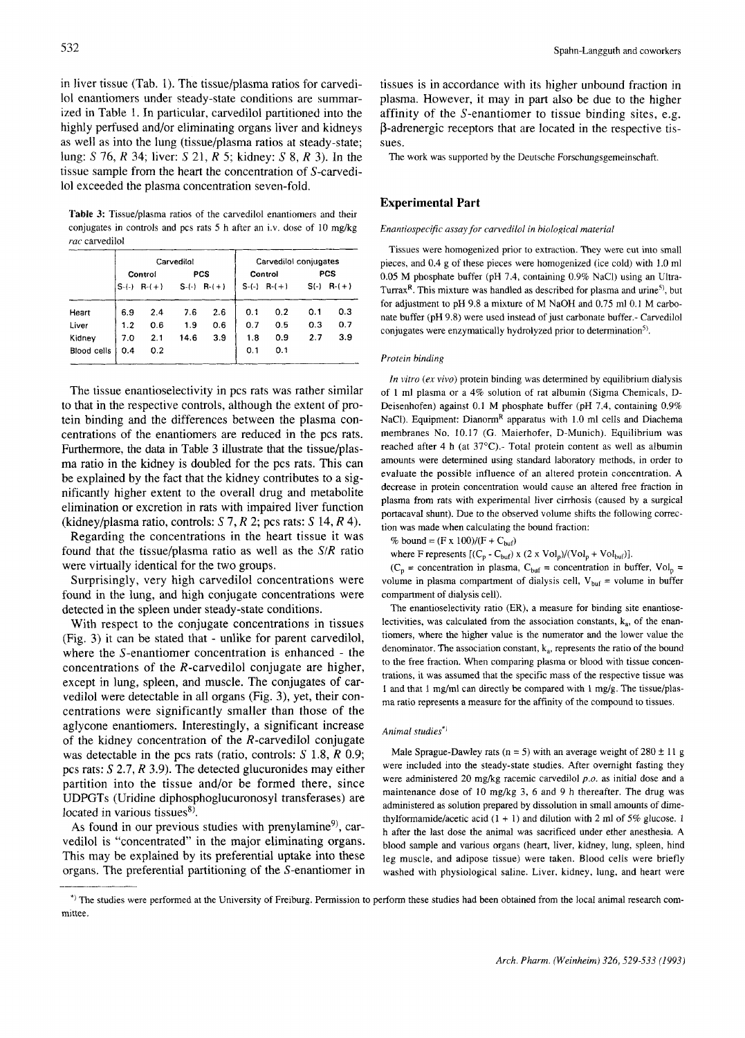in liver tissue (Tab. 1). The tissue/plasma ratios for carvedi-101 enantiomers under steady-state conditions are summarized in Table 1. **In** particular, carvedilol partitioned into the highly perfused and/or eliminating organs liver and kidneys as well as into the lung (tissue/plasma ratios at steady-state; lung: S 76, *R* 34; liver: S 21, R 5; kidney: *S* 8, R 3). In the tissue sample from the heart the concentration of S-carvedilo1 exceeded the plasma concentration seven-fold.

**Table 3:** Tissue/plasma ratios of the carvedilol enantiomers and their conjugates in controls and pcs rats 5 h after an i.v. dose of 10 mg/kg rac carvedilol

|             | Carvedilol |         |            |                  | Carvedilol conjugates |                 |            |         |
|-------------|------------|---------|------------|------------------|-----------------------|-----------------|------------|---------|
|             | Control    |         | <b>PCS</b> |                  | Control               |                 | <b>PCS</b> |         |
|             | $S-(-)$    | $R-(+)$ |            | $S-(-)$ R- $(+)$ |                       | $S-(-)$ R $(+)$ | $S(-)$     | $R-(+)$ |
| Heart       | 6.9        | 2.4     | 7.6        | 2.6              | 0.1                   | 0.2             | 0.1        | 0.3     |
| Liver       | 1.2        | 0.6     | 1.9        | 0.6              | 0.7                   | 0.5             | 0.3        | 0.7     |
| Kidney      | 7.0        | 2.1     | 14.6       | 3.9              | 1.8                   | 0.9             | 2.7        | 3.9     |
| Blood cells | 0.4        | 0.2     |            |                  | 0,1                   | 0.1             |            |         |

The tissue enantioselectivity in pcs rats was rather similar to that in the respective controls, although the extent of protein binding and the differences between the plasma concentrations of the enantiomers are reduced in the pcs rats. Furthermore, the data in Table 3 illustrate that the tissue/plasma ratio in the kidney is doubled for the pcs rats. This can be explained by the fact that the kidney contributes to a significantly higher extent to the overall drug and metabolite elimination or excretion in rats with impaired liver function (kidney/plasma ratio, controls: S *7, R 2;* pcs rats: *S* 14, *R* 4).

Regarding the concentrations in the heart tissue it was found that the tissue/plasma ratio as well as the  $S/R$  ratio were virtually identical for the two groups.

Surprisingly, very high carvedilol concentrations were found in the lung, and high conjugate concentrations were detected in the spleen under steady-state conditions.

With respect to the conjugate concentrations in tissues (Fig. 3) it can be stated that - unlike for parent carvedilol, where the S-enantiomer concentration is enhanced - the concentrations of the R-carvedilol conjugate are higher, except in lung, spleen, and muscle. The conjugates of carvedilol were detectable in all organs (Fig. 3), yet, their concentrations were significantly smaller than those of the aglycone enantiomers. Interestingly, a significant increase of the kidney concentration of the R-carvedilol conjugate was detectable in the pcs rats (ratio, controls: S 1.8, R 0.9; pcs rats: S *2.7,* R 3.9). The detected glucuronides may either partition into the tissue and/or be formed there, since UDPGTs (Uridine diphosphoglucuronosyl transferases) are located in various tissues<sup>8)</sup>.

As found in our previous studies with prenylamine<sup>9</sup>, carvedilol is "concentrated" in the major eliminating organs. This may be explained by its preferential uptake into these organs. The preferential partitioning of the S-enantiomer in

\_\_\_\_\_\_

tissues is in accordance with its higher unbound fraction in plasma. However, it may in part also be due to the higher affinity of the S-enantiomer to tissue binding sites, e.g.  $\beta$ -adrenergic receptors that are located in the respective tissues.

The work was supported by the Deutsche Forschungsgemeinschaft.

# **Experimental Part**

#### *Enanriospecific assay for carvedilol in biological material*

Tissues were homogenized prior to extraction. They were cut into small pieces, and 0.4 g of these pieces were homogenized (ice cold) with 1.0 ml 0.05 M phosphate buffer (pH 7.4, containing 0.9% NaC1) using an Ultra-Turrax<sup>R</sup>. This mixture was handled as described for plasma and urine<sup>5)</sup>, but for adjustment to pH 9.8 a mixture of M NaOH and 0.75 ml 0.1 M carbonate buffer (pH 9.8) were used instead of just carbonate buffer.- Carvedilol conjugates were enzymatically hydrolyzed prior to determination".

## *Protein binding*

*In vitro (ex* vivo) protein binding was determined by equilibrium dialysis of **1** ml plasma or a 4% solution of rat albumin (Sigma Chemicals, D-Deisenhofen) against 0.1 M phosphate buffer (pH 7.4, containing 0.9% NaCl). Equipment: Dianorm<sup>R</sup> apparatus with 1.0 ml cells and Diachema membranes No. 10.17 (G. Maierhofer, D-Munich). Equilibrium was reached after 4 h (at  $37^{\circ}$ C).- Total protein content as well as albumin amounts were determined using standard laboratory methods, in order to evaluate the possible influence of an altered protein concentration. **A**  decrease in protein concentration would cause an altered free fraction in plasma from rats with experimental liver cirrhosis (caused by a surgical portacaval shunt). Due to the observed volume shifts the following correction was made when calculating the bound fraction:

% bound =  $(F \times 100)/(F + C_{buf})$ 

where F represents  $[(C_p - C_{buf}) \times (2 \times Vol_p)/(Vol_p + Vol_{buf})]$ .

( $C_p$  = concentration in plasma,  $C_{buf}$  = concentration in buffer, Vol<sub>p</sub> = volume in plasma compartment of dialysis cell,  $V_{\text{buf}} =$  volume in buffer compartment of dialysis cell).

The enantioselectivity ratio (ER), a measure for binding site enantioselectivities, was calculated from the association constants,  $k_a$ , of the enantiomers, where the higher value is the numerator and the lower value the denominator. The association constant,  $k_a$ , represents the ratio of the bound to the free fraction. When comparing plasma or blood with tissue concentrations, it was assumed that the specific mass of the respective tissue was I and that  $1 \text{ mg/ml}$  can directly be compared with  $1 \text{ mg/g}$ . The tissue/plasma ratio represents a measure for the affinity of the compound to tissues.

#### *Animal studies"'*

Male Sprague-Dawley rats ( $n = 5$ ) with an average weight of 280  $\pm$  11 g were included into the steady-state studies. After overnight fasting they were administered 20 mg/kg racemic carvedilol *p.0.* as initial dose and a maintenance dose of 10 mg/kg **3,** 6 and 9 h thereafter. The drug was administered as solution prepared by dissolution in small amounts of dimethylformamide/acetic acid (1 + 1) and dilution with 2 ml of *5%* glucose. 1 h after the last dose the animal was sacrificed under ether anesthesia. **A**  blood sample and various organs (heart, liver, kidney, lung, spleen, hind leg muscle, and adipose tissue) were taken. Blood cells were briefly washed with physiological saline. Liver, kidney, lung, and heart were

<sup>\*)</sup> The studies were performed at the University **of** Freiburg. Permission to perform these studies had been obtained from the local animal research committee.